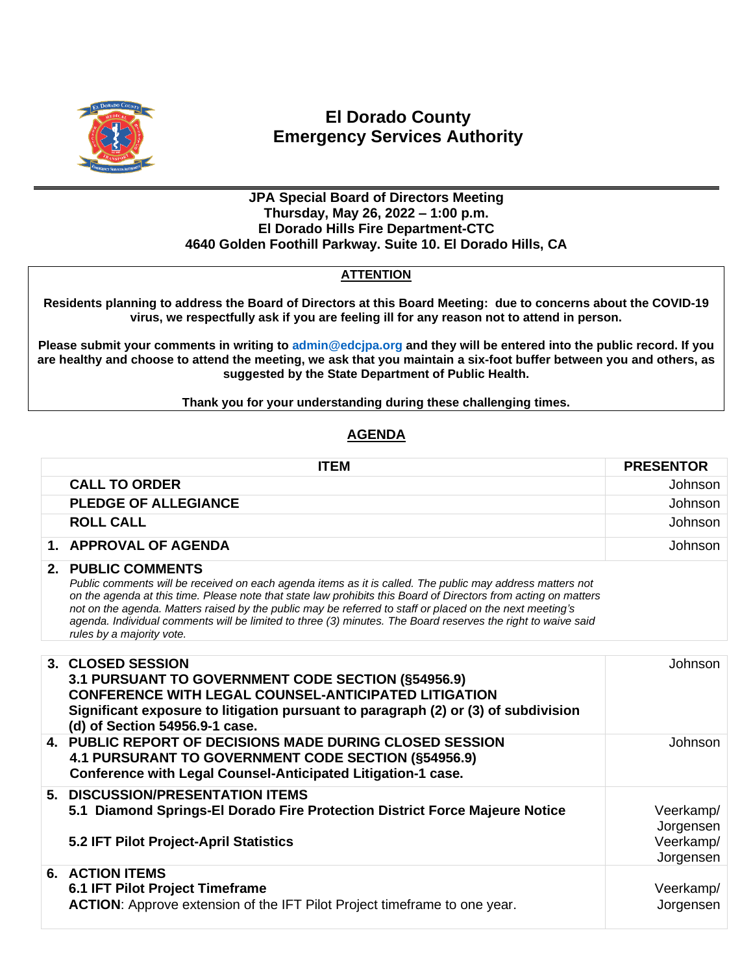

## **El Dorado County Emergency Services Authority**

## **JPA Special Board of Directors Meeting Thursday, May 26, 2022 – 1:00 p.m. El Dorado Hills Fire Department-CTC 4640 Golden Foothill Parkway. Suite 10. El Dorado Hills, CA**

## **ATTENTION**

**Residents planning to address the Board of Directors at this Board Meeting: due to concerns about the COVID-19 virus, we respectfully ask if you are feeling ill for any reason not to attend in person.**

**Please submit your comments in writing to [admin@edcjpa.org](mailto:admin@edcjpa.com) and they will be entered into the public record. If you are healthy and choose to attend the meeting, we ask that you maintain a six-foot buffer between you and others, as suggested by the State Department of Public Health.**

**Thank you for your understanding during these challenging times.**

## **AGENDA**

|         | <b>ITEM</b>                                                                                                                                                                                                                                                                                                                                                                                                                                                                                                 | <b>PRESENTOR</b>                                 |
|---------|-------------------------------------------------------------------------------------------------------------------------------------------------------------------------------------------------------------------------------------------------------------------------------------------------------------------------------------------------------------------------------------------------------------------------------------------------------------------------------------------------------------|--------------------------------------------------|
|         | <b>CALL TO ORDER</b>                                                                                                                                                                                                                                                                                                                                                                                                                                                                                        | Johnson                                          |
|         | <b>PLEDGE OF ALLEGIANCE</b>                                                                                                                                                                                                                                                                                                                                                                                                                                                                                 | Johnson                                          |
|         | <b>ROLL CALL</b>                                                                                                                                                                                                                                                                                                                                                                                                                                                                                            | Johnson                                          |
|         | 1. APPROVAL OF AGENDA                                                                                                                                                                                                                                                                                                                                                                                                                                                                                       | Johnson                                          |
|         | 2. PUBLIC COMMENTS<br>Public comments will be received on each agenda items as it is called. The public may address matters not<br>on the agenda at this time. Please note that state law prohibits this Board of Directors from acting on matters<br>not on the agenda. Matters raised by the public may be referred to staff or placed on the next meeting's<br>agenda. Individual comments will be limited to three (3) minutes. The Board reserves the right to waive said<br>rules by a majority vote. |                                                  |
|         | 3. CLOSED SESSION<br>3.1 PURSUANT TO GOVERNMENT CODE SECTION (§54956.9)<br><b>CONFERENCE WITH LEGAL COUNSEL-ANTICIPATED LITIGATION</b><br>Significant exposure to litigation pursuant to paragraph (2) or (3) of subdivision<br>(d) of Section 54956.9-1 case.                                                                                                                                                                                                                                              | Johnson                                          |
|         | 4. PUBLIC REPORT OF DECISIONS MADE DURING CLOSED SESSION<br>4.1 PURSURANT TO GOVERNMENT CODE SECTION (§54956.9)<br>Conference with Legal Counsel-Anticipated Litigation-1 case.                                                                                                                                                                                                                                                                                                                             | Johnson                                          |
| $5_{-}$ | <b>DISCUSSION/PRESENTATION ITEMS</b><br>5.1 Diamond Springs-El Dorado Fire Protection District Force Majeure Notice<br>5.2 IFT Pilot Project-April Statistics                                                                                                                                                                                                                                                                                                                                               | Veerkamp/<br>Jorgensen<br>Veerkamp/<br>Jorgensen |
|         | <b>6. ACTION ITEMS</b><br>6.1 IFT Pilot Project Timeframe<br>ACTION: Approve extension of the IFT Pilot Project timeframe to one year.                                                                                                                                                                                                                                                                                                                                                                      | Veerkamp/<br>Jorgensen                           |